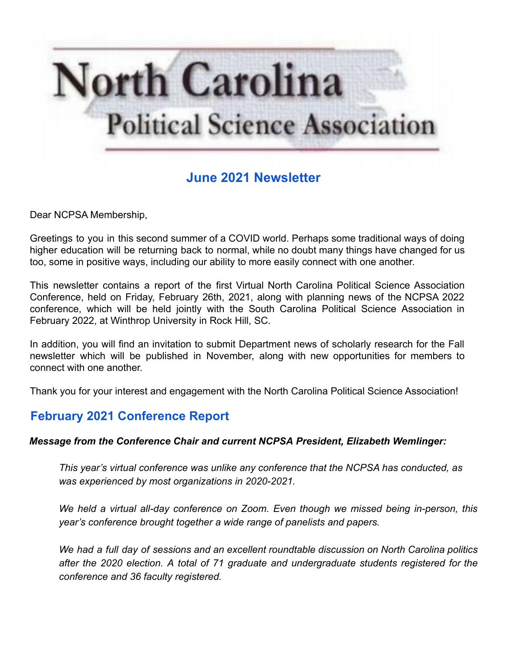

# **June 2021 Newsletter**

Dear NCPSA Membership,

Greetings to you in this second summer of a COVID world. Perhaps some traditional ways of doing higher education will be returning back to normal, while no doubt many things have changed for us too, some in positive ways, including our ability to more easily connect with one another.

This newsletter contains a report of the first Virtual North Carolina Political Science Association Conference, held on Friday, February 26th, 2021, along with planning news of the NCPSA 2022 conference, which will be held jointly with the South Carolina Political Science Association in February 2022, at Winthrop University in Rock Hill, SC.

In addition, you will find an invitation to submit Department news of scholarly research for the Fall newsletter which will be published in November, along with new opportunities for members to connect with one another.

Thank you for your interest and engagement with the North Carolina Political Science Association!

# **February 2021 Conference Report**

#### *Message from the Conference Chair and current NCPSA President, Elizabeth Wemlinger:*

*This year's virtual conference was unlike any conference that the NCPSA has conducted, as was experienced by most organizations in 2020-2021.*

*We held a virtual all-day conference on Zoom. Even though we missed being in-person, this year's conference brought together a wide range of panelists and papers.*

*We had a full day of sessions and an excellent roundtable discussion on North Carolina politics after the 2020 election. A total of 71 graduate and undergraduate students registered for the conference and 36 faculty registered.*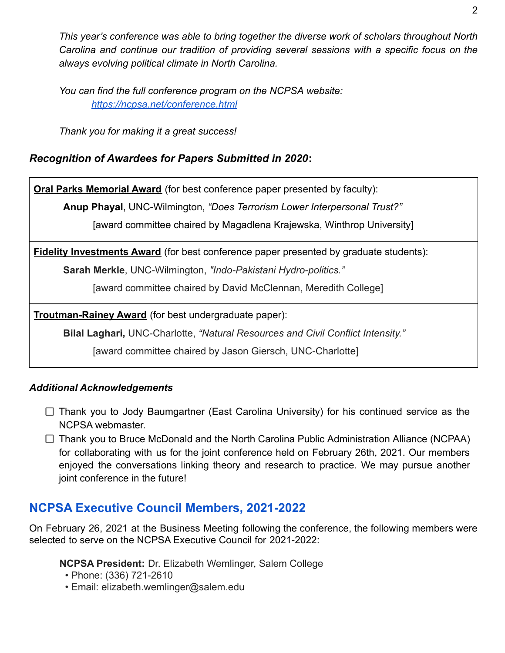*This year's conference was able to bring together the diverse work of scholars throughout North Carolina and continue our tradition of providing several sessions with a specific focus on the always evolving political climate in North Carolina.*

*You can find the full conference program on the NCPSA website: <https://ncpsa.net/conference.html>*

*Thank you for making it a great success!*

### *Recognition of Awardees for Papers Submitted in 2020***:**

**Oral Parks Memorial Award** (for best conference paper presented by faculty):

**Anup Phayal**, UNC-Wilmington, *"Does Terrorism Lower Interpersonal Trust?"*

[award committee chaired by Magadlena Krajewska, Winthrop University]

**Fidelity Investments Award** (for best conference paper presented by graduate students):

**Sarah Merkle**, UNC-Wilmington, *"Indo-Pakistani Hydro-politics."*

[award committee chaired by David McClennan, Meredith College]

**Troutman-Rainey Award** (for best undergraduate paper):

**Bilal Laghari,** UNC-Charlotte, *"Natural Resources and Civil Conflict Intensity."*

[award committee chaired by Jason Giersch, UNC-Charlotte]

### *Additional Acknowledgements*

 $\Box$  Thank you to Jody Baumgartner (East Carolina University) for his continued service as the NCPSA webmaster.

 $\Box$  Thank you to Bruce McDonald and the North Carolina Public Administration Alliance (NCPAA) for collaborating with us for the joint conference held on February 26th, 2021. Our members enjoyed the conversations linking theory and research to practice. We may pursue another joint conference in the future!

# **NCPSA Executive Council Members, 2021-2022**

On February 26, 2021 at the Business Meeting following the conference, the following members were selected to serve on the NCPSA Executive Council for 2021-2022:

**NCPSA President:** Dr. Elizabeth Wemlinger, Salem College

- Phone: (336) 721-2610
- Email: elizabeth.wemlinger@salem.edu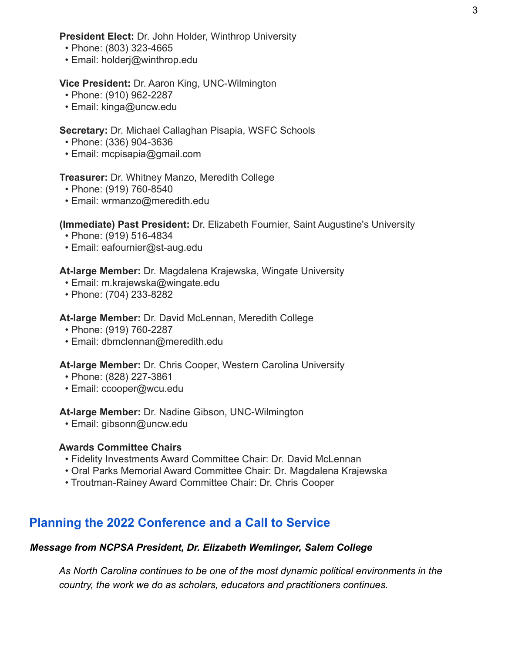**President Elect:** Dr. John Holder, Winthrop University

- Phone: (803) 323-4665
- Email: holderj@winthrop.edu

#### **Vice President:** Dr. Aaron King, UNC-Wilmington

- Phone: (910) 962-2287
- Email: kinga@uncw.edu

#### **Secretary:** Dr. Michael Callaghan Pisapia, WSFC Schools

- Phone: (336) 904-3636
- Email: mcpisapia@gmail.com

#### **Treasurer:** Dr. Whitney Manzo, Meredith College

- Phone: (919) 760-8540
- Email: wrmanzo@meredith.edu

#### **(Immediate) Past President:** Dr. Elizabeth Fournier, Saint Augustine's University

- Phone: (919) 516-4834
- Email: eafournier@st-aug.edu

#### **At-large Member:** Dr. Magdalena Krajewska, Wingate University

- Email: m.krajewska@wingate.edu
- Phone: (704) 233-8282

#### **At-large Member:** Dr. David McLennan, Meredith College

- Phone: (919) 760-2287
- Email: dbmclennan@meredith.edu

#### **At-large Member:** Dr. Chris Cooper, Western Carolina University

- Phone: (828) 227-3861
- Email: ccooper@wcu.edu

#### **At-large Member:** Dr. Nadine Gibson, UNC-Wilmington

• Email: gibsonn@uncw.edu

#### **Awards Committee Chairs**

- Fidelity Investments Award Committee Chair: Dr. David McLennan
- Oral Parks Memorial Award Committee Chair: Dr. Magdalena Krajewska
- Troutman-Rainey Award Committee Chair: Dr. Chris Cooper

## **Planning the 2022 Conference and a Call to Service**

#### *Message from NCPSA President, Dr. Elizabeth Wemlinger, Salem College*

*As North Carolina continues to be one of the most dynamic political environments in the country, the work we do as scholars, educators and practitioners continues.*